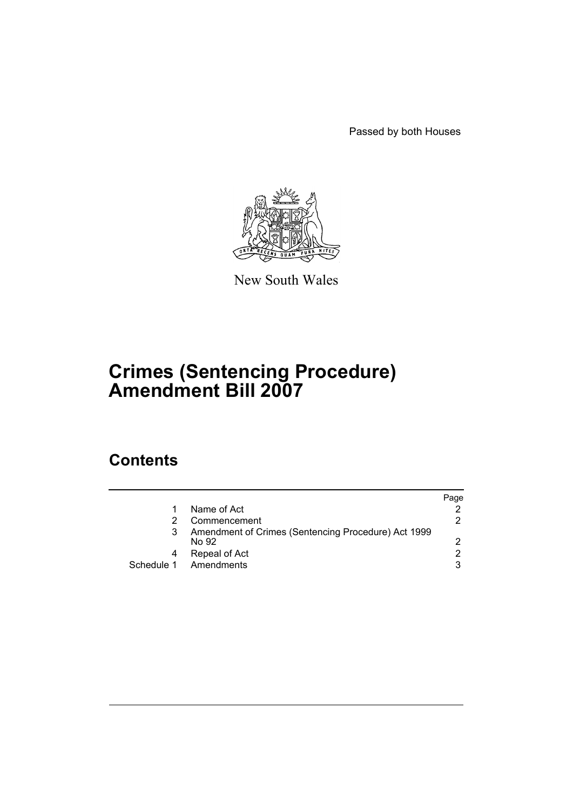Passed by both Houses



New South Wales

# **Crimes (Sentencing Procedure) Amendment Bill 2007**

# **Contents**

|   |                                                              | Page          |
|---|--------------------------------------------------------------|---------------|
|   | Name of Act                                                  |               |
|   | Commencement                                                 | 2.            |
| 3 | Amendment of Crimes (Sentencing Procedure) Act 1999<br>No 92 |               |
| 4 | Repeal of Act                                                | $\mathcal{P}$ |
|   | Schedule 1 Amendments                                        | 3             |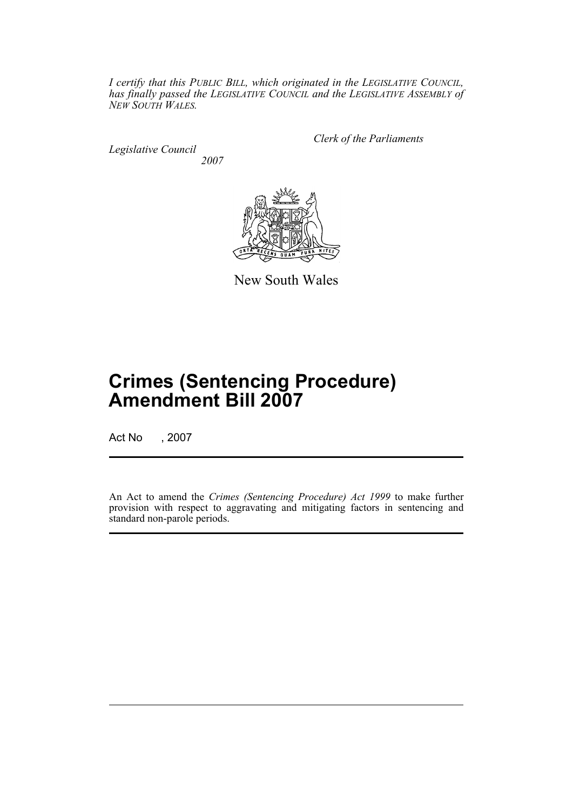*I certify that this PUBLIC BILL, which originated in the LEGISLATIVE COUNCIL, has finally passed the LEGISLATIVE COUNCIL and the LEGISLATIVE ASSEMBLY of NEW SOUTH WALES.*

*Legislative Council 2007* *Clerk of the Parliaments*



New South Wales

# **Crimes (Sentencing Procedure) Amendment Bill 2007**

Act No , 2007

An Act to amend the *Crimes (Sentencing Procedure) Act 1999* to make further provision with respect to aggravating and mitigating factors in sentencing and standard non-parole periods.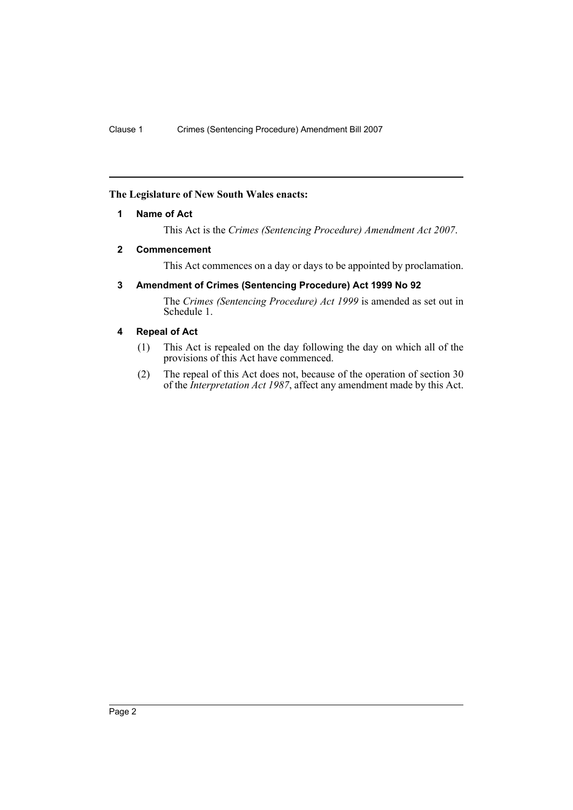# <span id="page-2-0"></span>**The Legislature of New South Wales enacts:**

# **1 Name of Act**

This Act is the *Crimes (Sentencing Procedure) Amendment Act 2007*.

#### <span id="page-2-1"></span>**2 Commencement**

This Act commences on a day or days to be appointed by proclamation.

# <span id="page-2-2"></span>**3 Amendment of Crimes (Sentencing Procedure) Act 1999 No 92**

The *Crimes (Sentencing Procedure) Act 1999* is amended as set out in Schedule 1.

# <span id="page-2-3"></span>**4 Repeal of Act**

- (1) This Act is repealed on the day following the day on which all of the provisions of this Act have commenced.
- (2) The repeal of this Act does not, because of the operation of section 30 of the *Interpretation Act 1987*, affect any amendment made by this Act.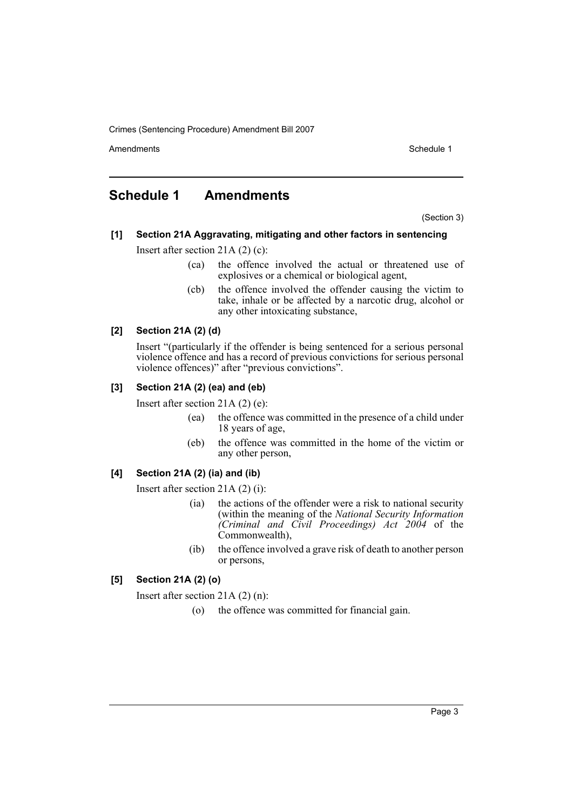Amendments **Amendments** Schedule 1

# <span id="page-3-0"></span>**Schedule 1 Amendments**

(Section 3)

# **[1] Section 21A Aggravating, mitigating and other factors in sentencing**

Insert after section 21A (2) (c):

- (ca) the offence involved the actual or threatened use of explosives or a chemical or biological agent,
- (cb) the offence involved the offender causing the victim to take, inhale or be affected by a narcotic drug, alcohol or any other intoxicating substance,

# **[2] Section 21A (2) (d)**

Insert "(particularly if the offender is being sentenced for a serious personal violence offence and has a record of previous convictions for serious personal violence offences)" after "previous convictions".

# **[3] Section 21A (2) (ea) and (eb)**

Insert after section 21A (2) (e):

- (ea) the offence was committed in the presence of a child under 18 years of age,
- (eb) the offence was committed in the home of the victim or any other person,

# **[4] Section 21A (2) (ia) and (ib)**

Insert after section 21A (2) (i):

- (ia) the actions of the offender were a risk to national security (within the meaning of the *National Security Information (Criminal and Civil Proceedings) Act 2004* of the Commonwealth),
- (ib) the offence involved a grave risk of death to another person or persons,

# **[5] Section 21A (2) (o)**

Insert after section 21A (2) (n):

(o) the offence was committed for financial gain.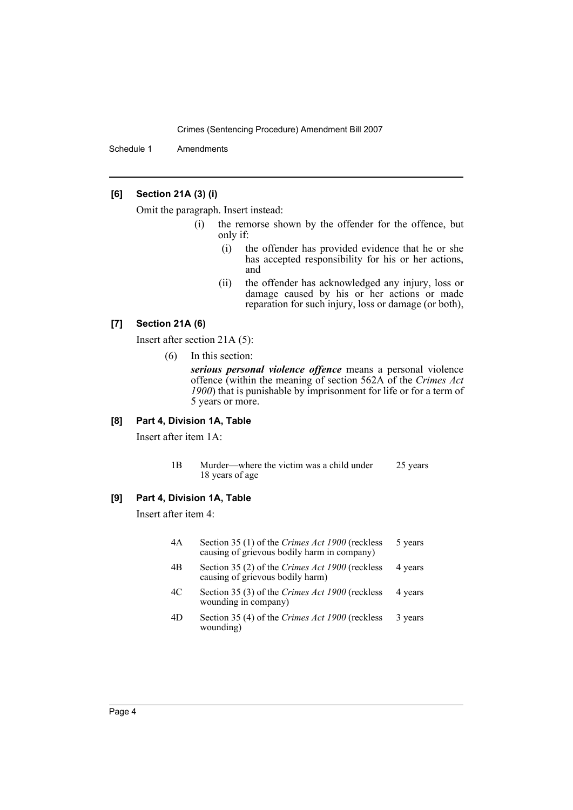Schedule 1 Amendments

# **[6] Section 21A (3) (i)**

Omit the paragraph. Insert instead:

- (i) the remorse shown by the offender for the offence, but only if:
	- (i) the offender has provided evidence that he or she has accepted responsibility for his or her actions, and
	- (ii) the offender has acknowledged any injury, loss or damage caused by his or her actions or made reparation for such injury, loss or damage (or both),

# **[7] Section 21A (6)**

Insert after section 21A (5):

(6) In this section:

*serious personal violence offence* means a personal violence offence (within the meaning of section 562A of the *Crimes Act 1900*) that is punishable by imprisonment for life or for a term of 5 years or more.

# **[8] Part 4, Division 1A, Table**

Insert after item 1A:

1B Murder—where the victim was a child under 18 years of age 25 years

# **[9] Part 4, Division 1A, Table**

Insert after item 4:

| 4A | Section 35 (1) of the Crimes Act 1900 (reckless<br>causing of grievous bodily harm in company) | 5 years |
|----|------------------------------------------------------------------------------------------------|---------|
| 4B | Section 35 (2) of the Crimes Act 1900 (reckless<br>causing of grievous bodily harm)            | 4 years |
| 4C | Section 35 (3) of the Crimes Act 1900 (reckless<br>wounding in company)                        | 4 years |
|    |                                                                                                |         |

4D Section 35 (4) of the *Crimes Act 1900* (reckless wounding) 3 years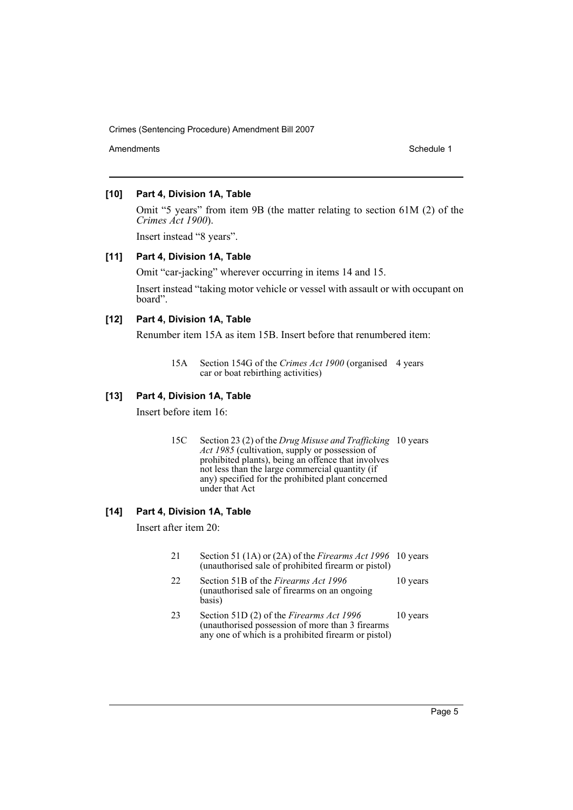Amendments **Schedule 1** and the set of the set of the set of the set of the set of the set of the set of the set of the set of the set of the set of the set of the set of the set of the set of the set of the set of the set

#### **[10] Part 4, Division 1A, Table**

Omit "5 years" from item 9B (the matter relating to section 61M (2) of the *Crimes Act 1900*).

Insert instead "8 years".

#### **[11] Part 4, Division 1A, Table**

Omit "car-jacking" wherever occurring in items 14 and 15.

Insert instead "taking motor vehicle or vessel with assault or with occupant on board".

# **[12] Part 4, Division 1A, Table**

Renumber item 15A as item 15B. Insert before that renumbered item:

# **[13] Part 4, Division 1A, Table**

Insert before item 16:

15C Section 23 (2) of the *Drug Misuse and Trafficking*  10 years *Act 1985* (cultivation, supply or possession of prohibited plants), being an offence that involves not less than the large commercial quantity (if any) specified for the prohibited plant concerned under that Act

# **[14] Part 4, Division 1A, Table**

Insert after item 20:

basis)

- 21 Section 51 (1A) or (2A) of the *Firearms Act 1996* 10 years (unauthorised sale of prohibited firearm or pistol) 22 Section 51B of the *Firearms Act 1996* (unauthorised sale of firearms on an ongoing 10 years
- 23 Section 51D (2) of the *Firearms Act 1996* (unauthorised possession of more than 3 firearms any one of which is a prohibited firearm or pistol) 10 years

<sup>15</sup>A Section 154G of the *Crimes Act 1900* (organised 4 years car or boat rebirthing activities)